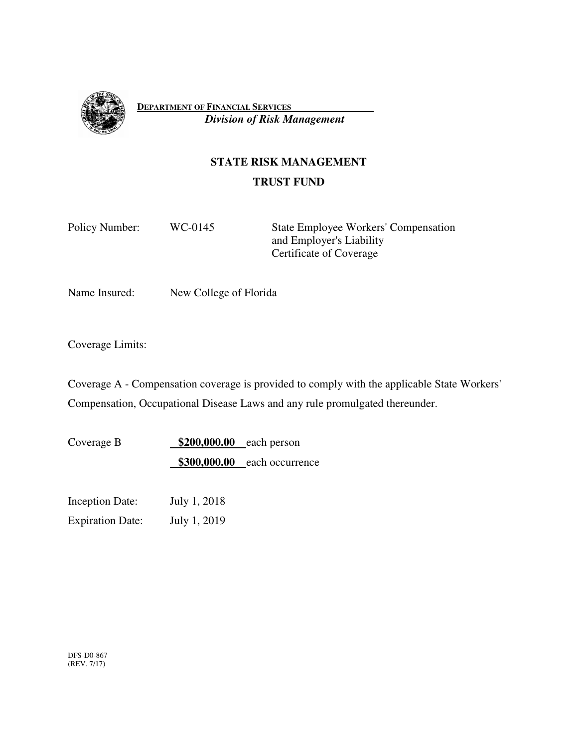

**DEPARTMENT OF FINANCIAL SERVICES**   *Division of Risk Management*

# **STATE RISK MANAGEMENT**

# **TRUST FUND**

Policy Number: WC-0145 State Employee Workers' Compensation and Employer's Liability Certificate of Coverage

Name Insured: New College of Florida

Coverage Limits:

Coverage A - Compensation coverage is provided to comply with the applicable State Workers' Compensation, Occupational Disease Laws and any rule promulgated thereunder.

Coverage B **\$200,000.00** each person **\$300,000.00** each occurrence

Inception Date: July 1, 2018 Expiration Date: July 1, 2019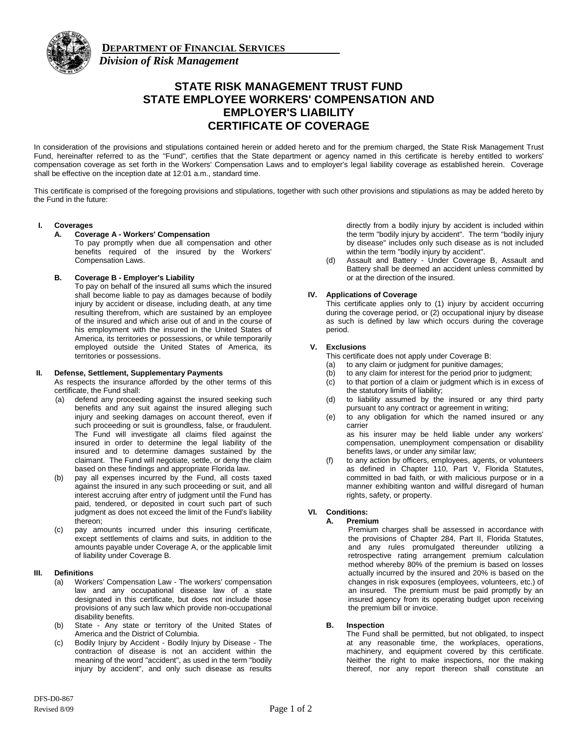

**DEPARTMENT OF FINANCIAL SERVICES**  *Division of Risk Management*

# **STATE RISK MANAGEMENT TRUST FUND STATE EMPLOYEE WORKERS' COMPENSATION AND EMPLOYER'S LIABILITY CERTIFICATE OF COVERAGE**

In consideration of the provisions and stipulations contained herein or added hereto and for the premium charged, the State Risk Management Trust Fund, hereinafter referred to as the "Fund", certifies that the State department or agency named in this certificate is hereby entitled to workers' compensation coverage as set forth in the Workers' Compensation Laws and to employer's legal liability coverage as established herein. Coverage shall be effective on the inception date at 12:01 a.m., standard time.

This certificate is comprised of the foregoing provisions and stipulations, together with such other provisions and stipulations as may be added hereto by the Fund in the future:

# **I. Coverages**

# **A. Coverage A - Workers' Compensation**

To pay promptly when due all compensation and other benefits required of the insured by the Workers' Compensation Laws.

# **B. Coverage B - Employer's Liability**

To pay on behalf of the insured all sums which the insured shall become liable to pay as damages because of bodily injury by accident or disease, including death, at any time resulting therefrom, which are sustained by an employee of the insured and which arise out of and in the course of his employment with the insured in the United States of America, its territories or possessions, or while temporarily employed outside the United States of America, its territories or possessions.

#### **II. Defense, Settlement, Supplementary Payments**

As respects the insurance afforded by the other terms of this certificate, the Fund shall:

- (a) defend any proceeding against the insured seeking such benefits and any suit against the insured alleging such injury and seeking damages on account thereof, even if such proceeding or suit is groundless, false, or fraudulent. The Fund will investigate all claims filed against the insured in order to determine the legal liability of the insured and to determine damages sustained by the claimant. The Fund will negotiate, settle, or deny the claim based on these findings and appropriate Florida law.
- (b) pay all expenses incurred by the Fund, all costs taxed against the insured in any such proceeding or suit, and all interest accruing after entry of judgment until the Fund has paid, tendered, or deposited in court such part of such judgment as does not exceed the limit of the Fund's liability thereon;
- (c) pay amounts incurred under this insuring certificate, except settlements of claims and suits, in addition to the amounts payable under Coverage A, or the applicable limit of liability under Coverage B.

#### **III. Definitions**

- (a) Workers' Compensation Law The workers' compensation law and any occupational disease law of a state designated in this certificate, but does not include those provisions of any such law which provide non-occupational disability benefits.
- (b) State Any state or territory of the United States of America and the District of Columbia.
- (c) Bodily Injury by Accident Bodily Injury by Disease The contraction of disease is not an accident within the meaning of the word "accident", as used in the term "bodily injury by accident", and only such disease as results

directly from a bodily injury by accident is included within the term "bodily injury by accident". The term "bodily injury by disease" includes only such disease as is not included within the term "bodily injury by accident".

(d) Assault and Battery - Under Coverage B, Assault and Battery shall be deemed an accident unless committed by or at the direction of the insured.

# **IV. Applications of Coverage**

This certificate applies only to (1) injury by accident occurring during the coverage period, or (2) occupational injury by disease as such is defined by law which occurs during the coverage period.

# **V. Exclusions**

This certificate does not apply under Coverage B:

- (a) to any claim or judgment for punitive damages;
- (b) to any claim for interest for the period prior to judgment;
- (c) to that portion of a claim or judgment which is in excess of the statutory limits of liability;
- (d) to liability assumed by the insured or any third party pursuant to any contract or agreement in writing;
- (e) to any obligation for which the named insured or any carrier

as his insurer may be held liable under any workers' compensation, unemployment compensation or disability benefits laws, or under any similar law;

(f) to any action by officers, employees, agents, or volunteers as defined in Chapter 110, Part V, Florida Statutes, committed in bad faith, or with malicious purpose or in a manner exhibiting wanton and willful disregard of human rights, safety, or property.

# **VI. Conditions:**

# **A. Premium**

Premium charges shall be assessed in accordance with the provisions of Chapter 284, Part II, Florida Statutes, and any rules promulgated thereunder utilizing a retrospective rating arrangement premium calculation method whereby 80% of the premium is based on losses actually incurred by the insured and 20% is based on the changes in risk exposures (employees, volunteers, etc.) of an insured. The premium must be paid promptly by an insured agency from its operating budget upon receiving the premium bill or invoice.

# **B. Inspection**

The Fund shall be permitted, but not obligated, to inspect at any reasonable time, the workplaces, operations, machinery, and equipment covered by this certificate. Neither the right to make inspections, nor the making thereof, nor any report thereon shall constitute an